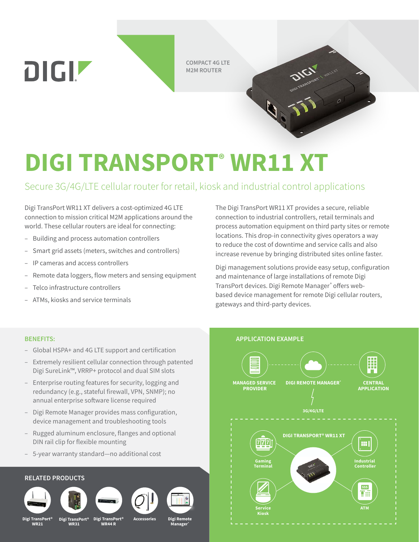**COMPACT 4G LTE M2M ROUTER**

# **DIGI TRANSPORT® WR11 XT**

# Secure 3G/4G/LTE cellular router for retail, kiosk and industrial control applications

Digi TransPort WR11 XT delivers a cost-optimized 4G LTE connection to mission critical M2M applications around the world. These cellular routers are ideal for connecting:

- Building and process automation controllers
- Smart grid assets (meters, switches and controllers)
- IP cameras and access controllers

DIGIZ

- Remote data loggers, flow meters and sensing equipment
- Telco infrastructure controllers
- ATMs, kiosks and service terminals

The Digi TransPort WR11 XT provides a secure, reliable connection to industrial controllers, retail terminals and process automation equipment on third party sites or remote locations. This drop-in connectivity gives operators a way to reduce the cost of downtime and service calls and also increase revenue by bringing distributed sites online faster.

Digi management solutions provide easy setup, configuration and maintenance of large installations of remote Digi TransPort devices. Digi Remote Manager® offers webbased device management for remote Digi cellular routers, gateways and third-party devices.

- Global HSPA+ and 4G LTE support and certification
- Extremely resilient cellular connection through patented Digi SureLink™, VRRP+ protocol and dual SIM slots
- Enterprise routing features for security, logging and redundancy (e.g., stateful firewall, VPN, SNMP); no annual enterprise software license required
- Digi Remote Manager provides mass configuration, device management and troubleshooting tools
- Rugged aluminum enclosure, flanges and optional DIN rail clip for flexible mounting
- 5-year warranty standard—no additional cost

### **RELATED PRODUCTS**













**Digi TransPort® WR21**

**Digi TransPort® WR31**

**Digi TransPort® WR44 R**

**Accessories**

**Digi Remote Manager®**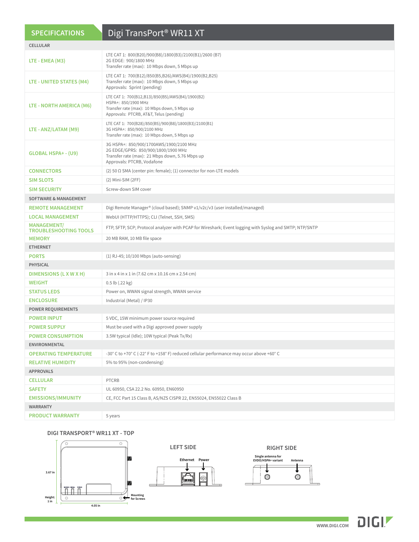| <b>SPECIFICATIONS</b>                       | Digi TransPort <sup>®</sup> WR11 XT                                                                                                                                |
|---------------------------------------------|--------------------------------------------------------------------------------------------------------------------------------------------------------------------|
| <b>CELLULAR</b>                             |                                                                                                                                                                    |
| LTE - EMEA (M3)                             | LTE CAT 1: 800(B20)/900(B8)/1800(B3)/2100(B1)/2600 (B7)<br>2G EDGE: 900/1800 MHz<br>Transfer rate (max): 10 Mbps down, 5 Mbps up                                   |
| LTE - UNITED STATES (M4)                    | LTE CAT 1: 700(B12)/850(B5,B26)/AWS(B4)/1900(B2,B25)<br>Transfer rate (max): 10 Mbps down, 5 Mbps up<br>Approvals: Sprint (pending)                                |
| LTE - NORTH AMERICA (M6)                    | LTE CAT 1: 700(B12,B13)/850(B5)/AWS(B4)/1900(B2)<br>HSPA+: 850/1900 MHz<br>Transfer rate (max): 10 Mbps down, 5 Mbps up<br>Approvals: PTCRB, AT&T, Telus (pending) |
| LTE - ANZ/LATAM (M9)                        | LTE CAT 1: 700(B28)/850(B5)/900(B8)/1800(B3)/2100(B1)<br>3G HSPA+: 850/900/2100 MHz<br>Transfer rate (max): 10 Mbps down, 5 Mbps up                                |
| GLOBAL HSPA+ - (U9)                         | 3G HSPA+: 850/900/1700AWS/1900/2100 MHz<br>2G EDGE/GPRS: 850/900/1800/1900 MHz<br>Transfer rate (max): 21 Mbps down, 5.76 Mbps up<br>Approvals: PTCRB, Vodafone    |
| <b>CONNECTORS</b>                           | (2) 50 $\Omega$ SMA (center pin: female); (1) connector for non-LTE models                                                                                         |
| <b>SIM SLOTS</b>                            | $(2)$ Mini-SIM $(2FF)$                                                                                                                                             |
| <b>SIM SECURITY</b>                         | Screw-down SIM cover                                                                                                                                               |
| <b>SOFTWARE &amp; MANAGEMENT</b>            |                                                                                                                                                                    |
| <b>REMOTE MANAGEMENT</b>                    | Digi Remote Manager® (cloud based); SNMP v1/v2c/v3 (user installed/managed)                                                                                        |
| <b>LOCAL MANAGEMENT</b>                     | WebUI (HTTP/HTTPS); CLI (Telnet, SSH, SMS)                                                                                                                         |
| MANAGEMENT/<br><b>TROUBLESHOOTING TOOLS</b> | FTP, SFTP, SCP; Protocol analyzer with PCAP for Wireshark; Event logging with Syslog and SMTP; NTP/SNTP                                                            |
| <b>MEMORY</b>                               | 20 MB RAM, 10 MB file space                                                                                                                                        |
| <b>ETHERNET</b>                             |                                                                                                                                                                    |
| <b>PORTS</b>                                | (1) RJ-45; 10/100 Mbps (auto-sensing)                                                                                                                              |
| <b>PHYSICAL</b>                             |                                                                                                                                                                    |
| DIMENSIONS (L X W X H)                      | 3 in x 4 in x 1 in (7.62 cm x 10.16 cm x 2.54 cm)                                                                                                                  |
| <b>WEIGHT</b>                               | $0.5$ lb $(.22$ kg)                                                                                                                                                |
| <b>STATUS LEDS</b>                          | Power on, WWAN signal strength, WWAN service                                                                                                                       |
| <b>ENCLOSURE</b>                            | Industrial (Metal) / IP30                                                                                                                                          |
| <b>POWER REQUIREMENTS</b>                   |                                                                                                                                                                    |
| <b>POWER INPUT</b>                          | 5 VDC, 15W minimum power source required                                                                                                                           |
| <b>POWER SUPPLY</b>                         | Must be used with a Digi approved power supply                                                                                                                     |
| <b>POWER CONSUMPTION</b>                    | 3.5W typical (Idle); 10W typical (Peak Tx/Rx)                                                                                                                      |
| <b>ENVIRONMENTAL</b>                        |                                                                                                                                                                    |
| <b>OPERATING TEMPERATURE</b>                | -30° C to +70° C (-22° F to +158° F) reduced cellular performance may occur above +60° C                                                                           |
| <b>RELATIVE HUMIDITY</b>                    | 5% to 95% (non-condensing)                                                                                                                                         |
| <b>APPROVALS</b>                            |                                                                                                                                                                    |
| <b>CELLULAR</b>                             | PTCRB                                                                                                                                                              |
| <b>SAFETY</b>                               | UL 60950, CSA 22.2 No. 60950, EN60950                                                                                                                              |
| <b>EMISSIONS/IMMUNITY</b>                   | CE, FCC Part 15 Class B, AS/NZS CISPR 22, EN55024, EN55022 Class B                                                                                                 |
| <b>WARRANTY</b>                             |                                                                                                                                                                    |
| <b>PRODUCT WARRANTY</b>                     | 5 years                                                                                                                                                            |

#### **DIGI TRANSPORT® WR11 XT - TOP**

**Height:**